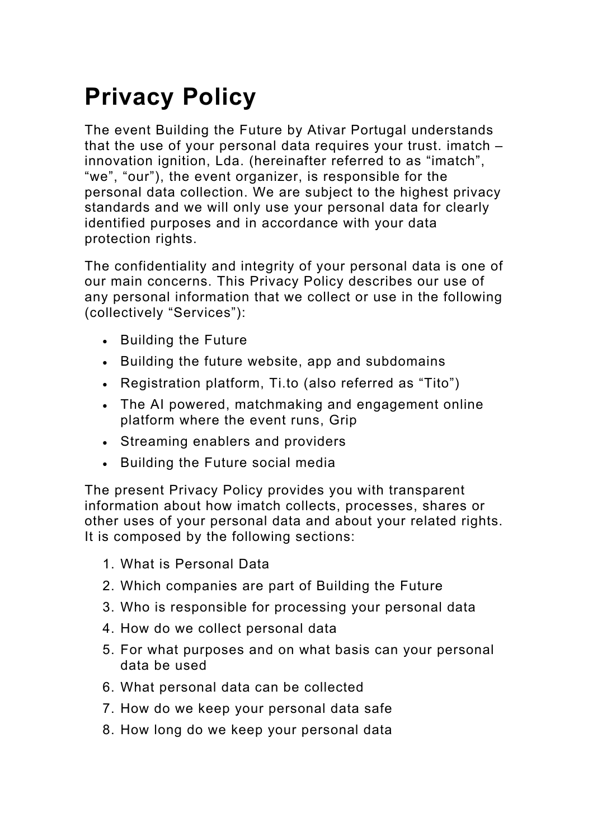# **Privacy Policy**

The event Building the Future by Ativar Portugal understands that the use of your personal data requires your trust. imatch – innovation ignition, Lda. (hereinafter referred to as "imatch", "we", "our"), the event organizer, is responsible for the personal data collection. We are subject to the highest privacy standards and we will only use your personal data for clearly identified purposes and in accordance with your data protection rights.

The confidentiality and integrity of your personal data is one of our main concerns. This Privacy Policy describes our use of any personal information that we collect or use in the following (collectively "Services"):

- Building the Future
- Building the future website, app and subdomains
- Registration platform, Ti.to (also referred as "Tito")
- The AI powered, matchmaking and engagement online platform where the event runs, Grip
- Streaming enablers and providers
- Building the Future social media

The present Privacy Policy provides you with transparent information about how imatch collects, processes, shares or other uses of your personal data and about your related rights. It is composed by the following sections:

- 1. What is Personal Data
- 2. Which companies are part of Building the Future
- 3. Who is responsible for processing your personal data
- 4. How do we collect personal data
- 5. For what purposes and on what basis can your personal data be used
- 6. What personal data can be collected
- 7. How do we keep your personal data safe
- 8. How long do we keep your personal data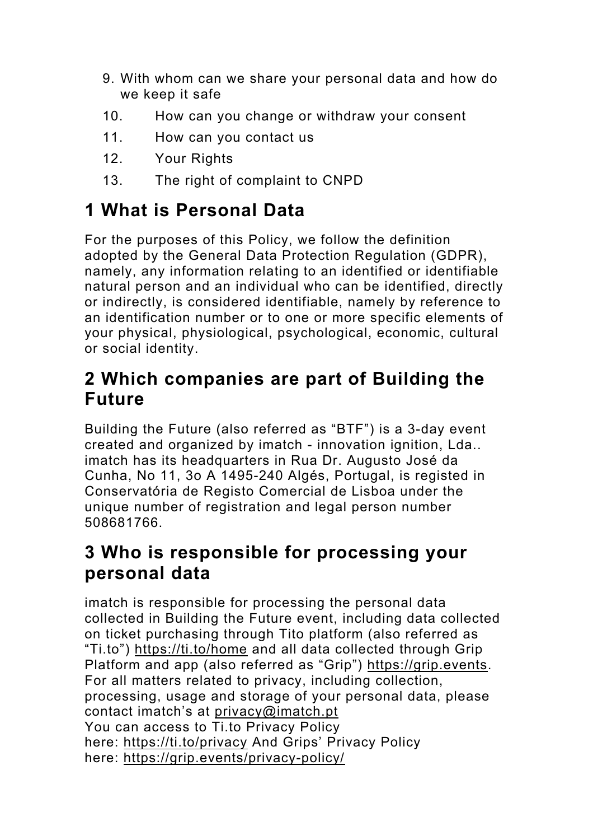- 9. With whom can we share your personal data and how do we keep it safe
- 10. How can you change or withdraw your consent
- 11. How can you contact us
- 12. Your Rights
- 13. The right of complaint to CNPD

# **1 What is Personal Data**

For the purposes of this Policy, we follow the definition adopted by the General Data Protection Regulation (GDPR), namely, any information relating to an identified or identifiable natural person and an individual who can be identified, directly or indirectly, is considered identifiable, namely by reference to an identification number or to one or more specific elements of your physical, physiological, psychological, economic, cultural or social identity.

### **2 Which companies are part of Building the Future**

Building the Future (also referred as "BTF") is a 3-day event created and organized by imatch - innovation ignition, Lda.. imatch has its headquarters in Rua Dr. Augusto José da Cunha, No 11, 3o A 1495-240 Algés, Portugal, is registed in Conservatória de Registo Comercial de Lisboa under the unique number of registration and legal person number 508681766.

### **3 Who is responsible for processing your personal data**

imatch is responsible for processing the personal data collected in Building the Future event, including data collected on ticket purchasing through Tito platform (also referred as "Ti.to") https://ti.to/home and all data collected through Grip Platform and app (also referred as "Grip") https://grip.events. For all matters related to privacy, including collection, processing, usage and storage of your personal data, please contact imatch's at privacy@imatch.pt You can access to Ti.to Privacy Policy here: https://ti.to/privacy And Grips' Privacy Policy here: https://grip.events/privacy-policy/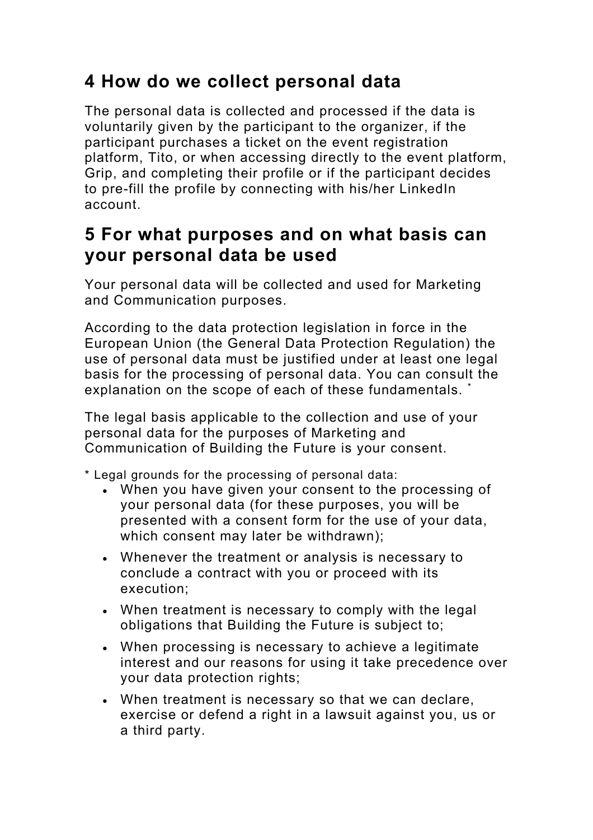#### **4 How do we collect personal data**

The personal data is collected and processed if the data is voluntarily given by the participant to the organizer, if the participant purchases a ticket on the event registration platform, Tito, or when accessing directly to the event platform, Grip, and completing their profile or if the participant decides to pre-fill the profile by connecting with his/her LinkedIn account.

#### **5 For what purposes and on what basis can your personal data be used**

Your personal data will be collected and used for Marketing and Communication purposes.

According to the data protection legislation in force in the European Union (the General Data Protection Regulation) the use of personal data must be justified under at least one legal basis for the processing of personal data. You can consult the explanation on the scope of each of these fundamentals.

The legal basis applicable to the collection and use of your personal data for the purposes of Marketing and Communication of Building the Future is your consent.

\* Legal grounds for the processing of personal data:

- When you have given your consent to the processing of your personal data (for these purposes, you will be presented with a consent form for the use of your data, which consent may later be withdrawn);
- Whenever the treatment or analysis is necessary to conclude a contract with you or proceed with its execution;
- When treatment is necessary to comply with the legal obligations that Building the Future is subject to;
- When processing is necessary to achieve a legitimate interest and our reasons for using it take precedence over your data protection rights;
- When treatment is necessary so that we can declare, exercise or defend a right in a lawsuit against you, us or a third party.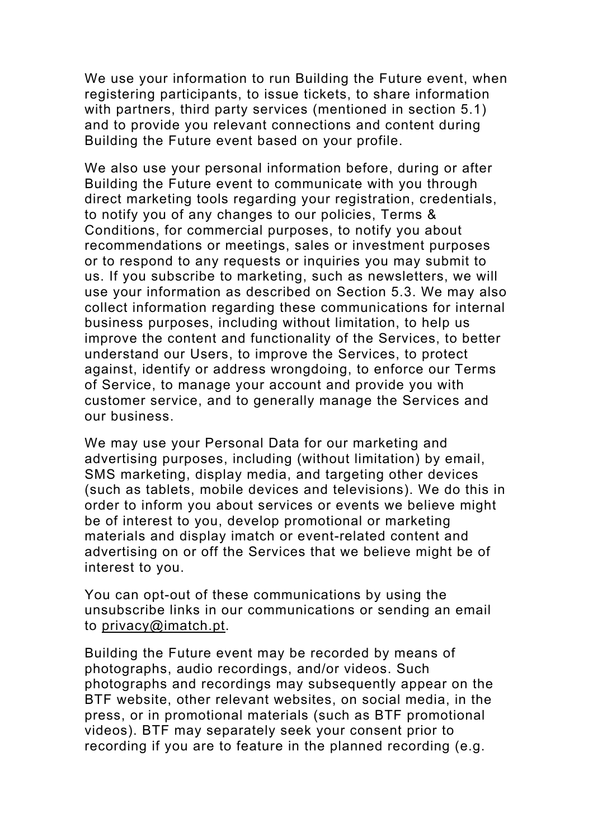We use your information to run Building the Future event, when registering participants, to issue tickets, to share information with partners, third party services (mentioned in section 5.1) and to provide you relevant connections and content during Building the Future event based on your profile.

We also use your personal information before, during or after Building the Future event to communicate with you through direct marketing tools regarding your registration, credentials, to notify you of any changes to our policies, Terms & Conditions, for commercial purposes, to notify you about recommendations or meetings, sales or investment purposes or to respond to any requests or inquiries you may submit to us. If you subscribe to marketing, such as newsletters, we will use your information as described on Section 5.3. We may also collect information regarding these communications for internal business purposes, including without limitation, to help us improve the content and functionality of the Services, to better understand our Users, to improve the Services, to protect against, identify or address wrongdoing, to enforce our Terms of Service, to manage your account and provide you with customer service, and to generally manage the Services and our business.

We may use your Personal Data for our marketing and advertising purposes, including (without limitation) by email, SMS marketing, display media, and targeting other devices (such as tablets, mobile devices and televisions). We do this in order to inform you about services or events we believe might be of interest to you, develop promotional or marketing materials and display imatch or event-related content and advertising on or off the Services that we believe might be of interest to you.

You can opt-out of these communications by using the unsubscribe links in our communications or sending an email to privacy@imatch.pt.

Building the Future event may be recorded by means of photographs, audio recordings, and/or videos. Such photographs and recordings may subsequently appear on the BTF website, other relevant websites, on social media, in the press, or in promotional materials (such as BTF promotional videos). BTF may separately seek your consent prior to recording if you are to feature in the planned recording (e.g.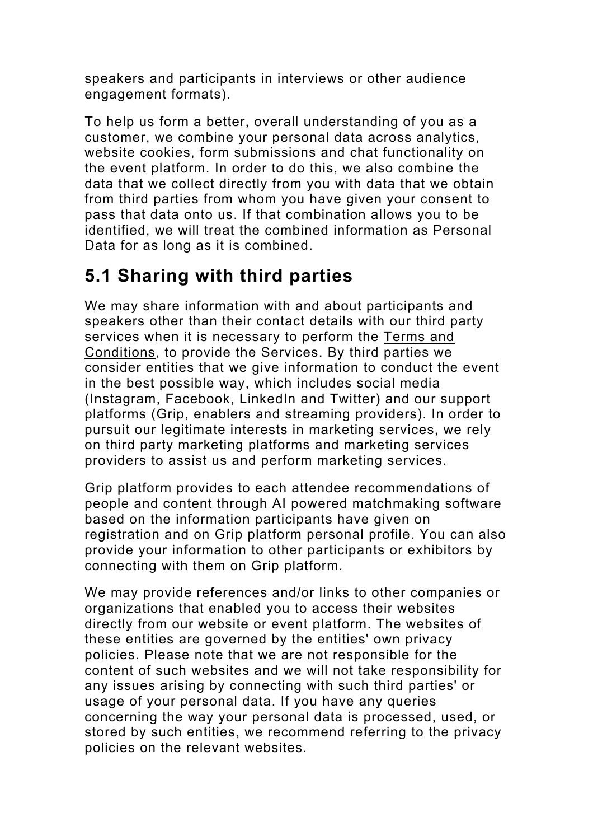speakers and participants in interviews or other audience engagement formats).

To help us form a better, overall understanding of you as a customer, we combine your personal data across analytics, website cookies, form submissions and chat functionality on the event platform. In order to do this, we also combine the data that we collect directly from you with data that we obtain from third parties from whom you have given your consent to pass that data onto us. If that combination allows you to be identified, we will treat the combined information as Personal Data for as long as it is combined.

## **5.1 Sharing with third parties**

We may share information with and about participants and speakers other than their contact details with our third party services when it is necessary to perform the Terms and Conditions, to provide the Services. By third parties we consider entities that we give information to conduct the event in the best possible way, which includes social media (Instagram, Facebook, LinkedIn and Twitter) and our support platforms (Grip, enablers and streaming providers). In order to pursuit our legitimate interests in marketing services, we rely on third party marketing platforms and marketing services providers to assist us and perform marketing services.

Grip platform provides to each attendee recommendations of people and content through AI powered matchmaking software based on the information participants have given on registration and on Grip platform personal profile. You can also provide your information to other participants or exhibitors by connecting with them on Grip platform.

We may provide references and/or links to other companies or organizations that enabled you to access their websites directly from our website or event platform. The websites of these entities are governed by the entities' own privacy policies. Please note that we are not responsible for the content of such websites and we will not take responsibility for any issues arising by connecting with such third parties' or usage of your personal data. If you have any queries concerning the way your personal data is processed, used, or stored by such entities, we recommend referring to the privacy policies on the relevant websites.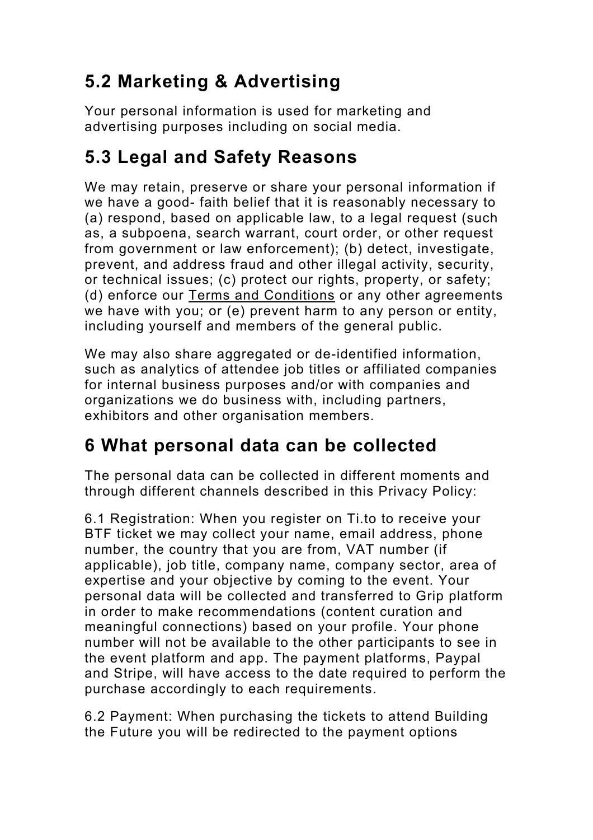# **5.2 Marketing & Advertising**

Your personal information is used for marketing and advertising purposes including on social media.

## **5.3 Legal and Safety Reasons**

We may retain, preserve or share your personal information if we have a good- faith belief that it is reasonably necessary to (a) respond, based on applicable law, to a legal request (such as, a subpoena, search warrant, court order, or other request from government or law enforcement); (b) detect, investigate, prevent, and address fraud and other illegal activity, security, or technical issues; (c) protect our rights, property, or safety; (d) enforce our Terms and Conditions or any other agreements we have with you; or (e) prevent harm to any person or entity, including yourself and members of the general public.

We may also share aggregated or de-identified information, such as analytics of attendee job titles or affiliated companies for internal business purposes and/or with companies and organizations we do business with, including partners, exhibitors and other organisation members.

## **6 What personal data can be collected**

The personal data can be collected in different moments and through different channels described in this Privacy Policy:

6.1 Registration: When you register on Ti.to to receive your BTF ticket we may collect your name, email address, phone number, the country that you are from, VAT number (if applicable), job title, company name, company sector, area of expertise and your objective by coming to the event. Your personal data will be collected and transferred to Grip platform in order to make recommendations (content curation and meaningful connections) based on your profile. Your phone number will not be available to the other participants to see in the event platform and app. The payment platforms, Paypal and Stripe, will have access to the date required to perform the purchase accordingly to each requirements.

6.2 Payment: When purchasing the tickets to attend Building the Future you will be redirected to the payment options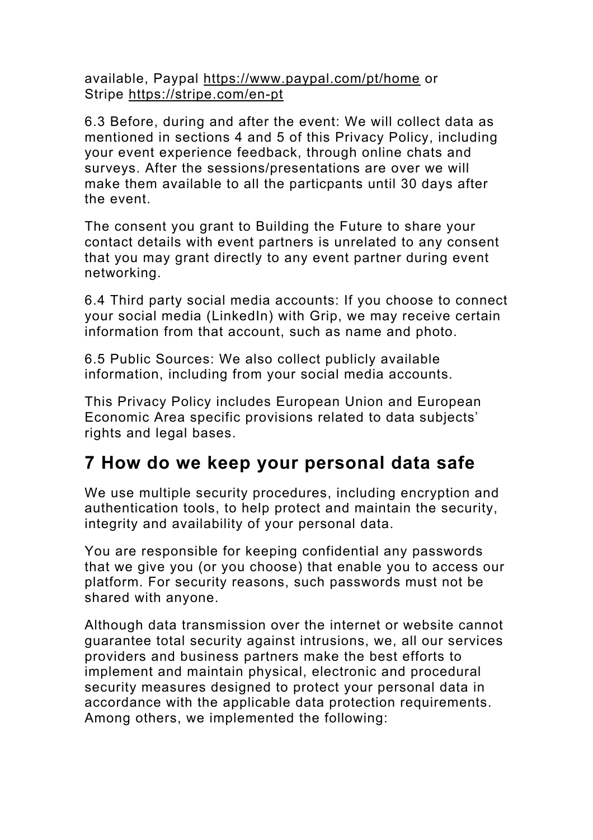available, Paypal https://www.paypal.com/pt/home or Stripe https://stripe.com/en-pt

6.3 Before, during and after the event: We will collect data as mentioned in sections 4 and 5 of this Privacy Policy, including your event experience feedback, through online chats and surveys. After the sessions/presentations are over we will make them available to all the particpants until 30 days after the event.

The consent you grant to Building the Future to share your contact details with event partners is unrelated to any consent that you may grant directly to any event partner during event networking.

6.4 Third party social media accounts: If you choose to connect your social media (LinkedIn) with Grip, we may receive certain information from that account, such as name and photo.

6.5 Public Sources: We also collect publicly available information, including from your social media accounts.

This Privacy Policy includes European Union and European Economic Area specific provisions related to data subjects' rights and legal bases.

#### **7 How do we keep your personal data safe**

We use multiple security procedures, including encryption and authentication tools, to help protect and maintain the security, integrity and availability of your personal data.

You are responsible for keeping confidential any passwords that we give you (or you choose) that enable you to access our platform. For security reasons, such passwords must not be shared with anyone.

Although data transmission over the internet or website cannot guarantee total security against intrusions, we, all our services providers and business partners make the best efforts to implement and maintain physical, electronic and procedural security measures designed to protect your personal data in accordance with the applicable data protection requirements. Among others, we implemented the following: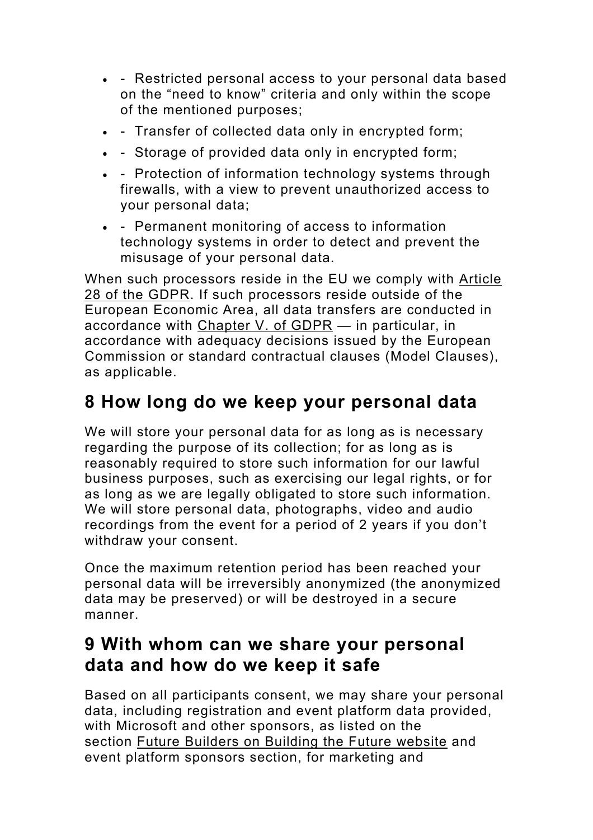- - Restricted personal access to your personal data based on the "need to know" criteria and only within the scope of the mentioned purposes;
- - Transfer of collected data only in encrypted form;
- - Storage of provided data only in encrypted form;
- - Protection of information technology systems through firewalls, with a view to prevent unauthorized access to your personal data;
- - Permanent monitoring of access to information technology systems in order to detect and prevent the misusage of your personal data.

When such processors reside in the EU we comply with Article 28 of the GDPR. If such processors reside outside of the European Economic Area, all data transfers are conducted in accordance with Chapter V. of GDPR — in particular, in accordance with adequacy decisions issued by the European Commission or standard contractual clauses (Model Clauses), as applicable.

## **8 How long do we keep your personal data**

We will store your personal data for as long as is necessary regarding the purpose of its collection; for as long as is reasonably required to store such information for our lawful business purposes, such as exercising our legal rights, or for as long as we are legally obligated to store such information. We will store personal data, photographs, video and audio recordings from the event for a period of 2 years if you don't withdraw your consent.

Once the maximum retention period has been reached your personal data will be irreversibly anonymized (the anonymized data may be preserved) or will be destroyed in a secure manner.

#### **9 With whom can we share your personal data and how do we keep it safe**

Based on all participants consent, we may share your personal data, including registration and event platform data provided, with Microsoft and other sponsors, as listed on the section Future Builders on Building the Future website and event platform sponsors section, for marketing and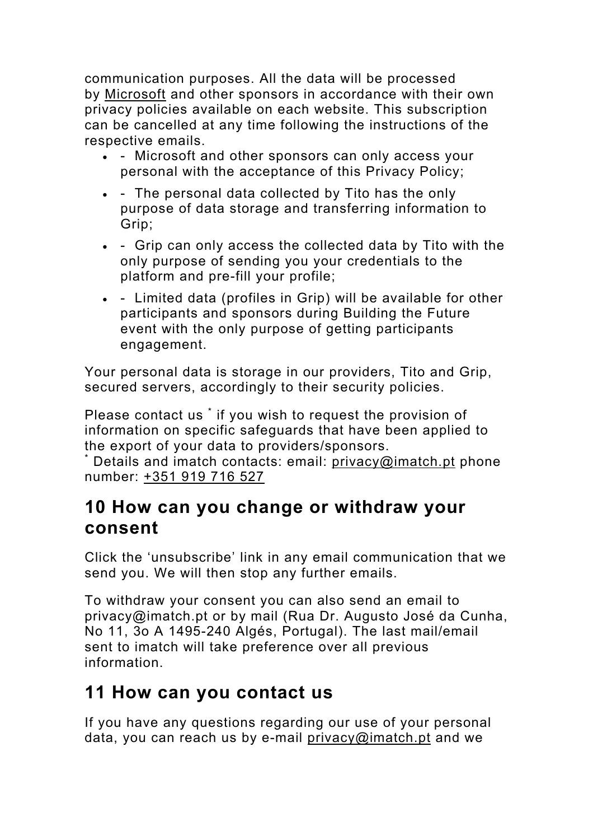communication purposes. All the data will be processed by Microsoft and other sponsors in accordance with their own privacy policies available on each website. This subscription can be cancelled at any time following the instructions of the respective emails.

- - Microsoft and other sponsors can only access your personal with the acceptance of this Privacy Policy;
- - The personal data collected by Tito has the only purpose of data storage and transferring information to Grip;
- - Grip can only access the collected data by Tito with the only purpose of sending you your credentials to the platform and pre-fill your profile;
- - Limited data (profiles in Grip) will be available for other participants and sponsors during Building the Future event with the only purpose of getting participants engagement.

Your personal data is storage in our providers, Tito and Grip, secured servers, accordingly to their security policies.

Please contact us \* if you wish to request the provision of information on specific safeguards that have been applied to the export of your data to providers/sponsors.

\* Details and imatch contacts: email: privacy@imatch.pt phone number: +351 919 716 527

#### **10 How can you change or withdraw your consent**

Click the 'unsubscribe' link in any email communication that we send you. We will then stop any further emails.

To withdraw your consent you can also send an email to privacy@imatch.pt or by mail (Rua Dr. Augusto José da Cunha, No 11, 3o A 1495-240 Algés, Portugal). The last mail/email sent to imatch will take preference over all previous information.

#### **11 How can you contact us**

If you have any questions regarding our use of your personal data, you can reach us by e-mail privacy@imatch.pt and we